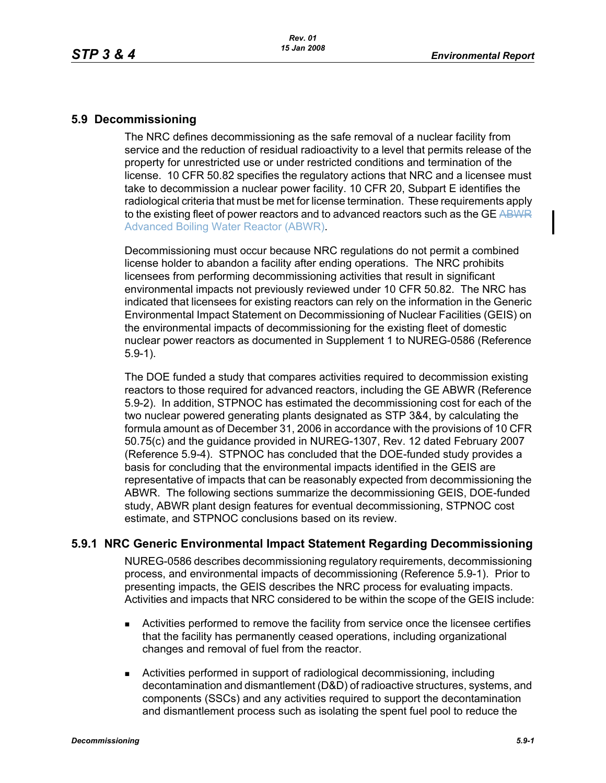## **5.9 Decommissioning**

The NRC defines decommissioning as the safe removal of a nuclear facility from service and the reduction of residual radioactivity to a level that permits release of the property for unrestricted use or under restricted conditions and termination of the license. 10 CFR 50.82 specifies the regulatory actions that NRC and a licensee must take to decommission a nuclear power facility. 10 CFR 20, Subpart E identifies the radiological criteria that must be met for license termination. These requirements apply to the existing fleet of power reactors and to advanced reactors such as the GE ABWR Advanced Boiling Water Reactor (ABWR).

Decommissioning must occur because NRC regulations do not permit a combined license holder to abandon a facility after ending operations. The NRC prohibits licensees from performing decommissioning activities that result in significant environmental impacts not previously reviewed under 10 CFR 50.82. The NRC has indicated that licensees for existing reactors can rely on the information in the Generic Environmental Impact Statement on Decommissioning of Nuclear Facilities (GEIS) on the environmental impacts of decommissioning for the existing fleet of domestic nuclear power reactors as documented in Supplement 1 to NUREG-0586 (Reference 5.9-1).

The DOE funded a study that compares activities required to decommission existing reactors to those required for advanced reactors, including the GE ABWR (Reference 5.9-2). In addition, STPNOC has estimated the decommissioning cost for each of the two nuclear powered generating plants designated as STP 3&4, by calculating the formula amount as of December 31, 2006 in accordance with the provisions of 10 CFR 50.75(c) and the guidance provided in NUREG-1307, Rev. 12 dated February 2007 (Reference 5.9-4). STPNOC has concluded that the DOE-funded study provides a basis for concluding that the environmental impacts identified in the GEIS are representative of impacts that can be reasonably expected from decommissioning the ABWR. The following sections summarize the decommissioning GEIS, DOE-funded study, ABWR plant design features for eventual decommissioning, STPNOC cost estimate, and STPNOC conclusions based on its review.

# **5.9.1 NRC Generic Environmental Impact Statement Regarding Decommissioning**

NUREG-0586 describes decommissioning regulatory requirements, decommissioning process, and environmental impacts of decommissioning (Reference 5.9-1). Prior to presenting impacts, the GEIS describes the NRC process for evaluating impacts. Activities and impacts that NRC considered to be within the scope of the GEIS include:

- Activities performed to remove the facility from service once the licensee certifies that the facility has permanently ceased operations, including organizational changes and removal of fuel from the reactor.
- Activities performed in support of radiological decommissioning, including decontamination and dismantlement (D&D) of radioactive structures, systems, and components (SSCs) and any activities required to support the decontamination and dismantlement process such as isolating the spent fuel pool to reduce the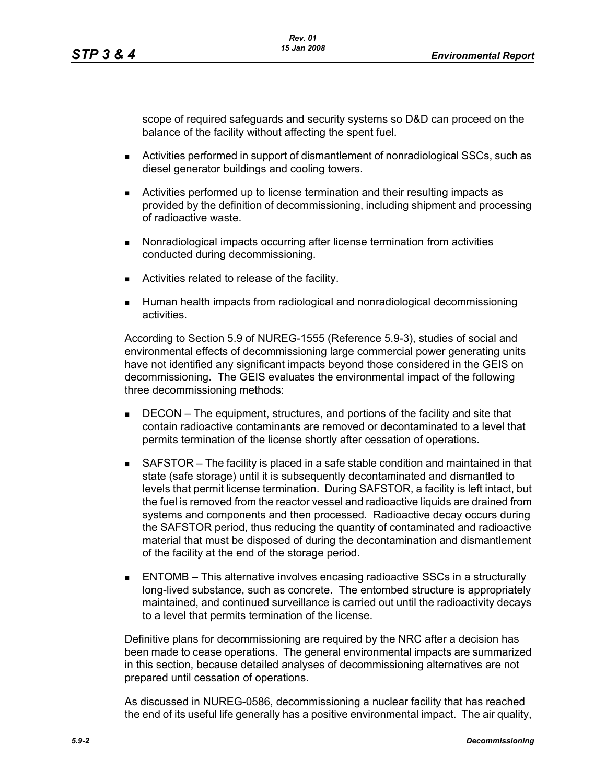scope of required safeguards and security systems so D&D can proceed on the balance of the facility without affecting the spent fuel.

- Activities performed in support of dismantlement of nonradiological SSCs, such as diesel generator buildings and cooling towers.
- Activities performed up to license termination and their resulting impacts as provided by the definition of decommissioning, including shipment and processing of radioactive waste.
- **Nonradiological impacts occurring after license termination from activities** conducted during decommissioning.
- **EXEC** Activities related to release of the facility.
- Human health impacts from radiological and nonradiological decommissioning activities.

According to Section 5.9 of NUREG-1555 (Reference 5.9-3), studies of social and environmental effects of decommissioning large commercial power generating units have not identified any significant impacts beyond those considered in the GEIS on decommissioning. The GEIS evaluates the environmental impact of the following three decommissioning methods:

- **DECON** The equipment, structures, and portions of the facility and site that contain radioactive contaminants are removed or decontaminated to a level that permits termination of the license shortly after cessation of operations.
- SAFSTOR The facility is placed in a safe stable condition and maintained in that state (safe storage) until it is subsequently decontaminated and dismantled to levels that permit license termination. During SAFSTOR, a facility is left intact, but the fuel is removed from the reactor vessel and radioactive liquids are drained from systems and components and then processed. Radioactive decay occurs during the SAFSTOR period, thus reducing the quantity of contaminated and radioactive material that must be disposed of during the decontamination and dismantlement of the facility at the end of the storage period.
- ENTOMB This alternative involves encasing radioactive SSCs in a structurally long-lived substance, such as concrete. The entombed structure is appropriately maintained, and continued surveillance is carried out until the radioactivity decays to a level that permits termination of the license.

Definitive plans for decommissioning are required by the NRC after a decision has been made to cease operations. The general environmental impacts are summarized in this section, because detailed analyses of decommissioning alternatives are not prepared until cessation of operations.

As discussed in NUREG-0586, decommissioning a nuclear facility that has reached the end of its useful life generally has a positive environmental impact. The air quality,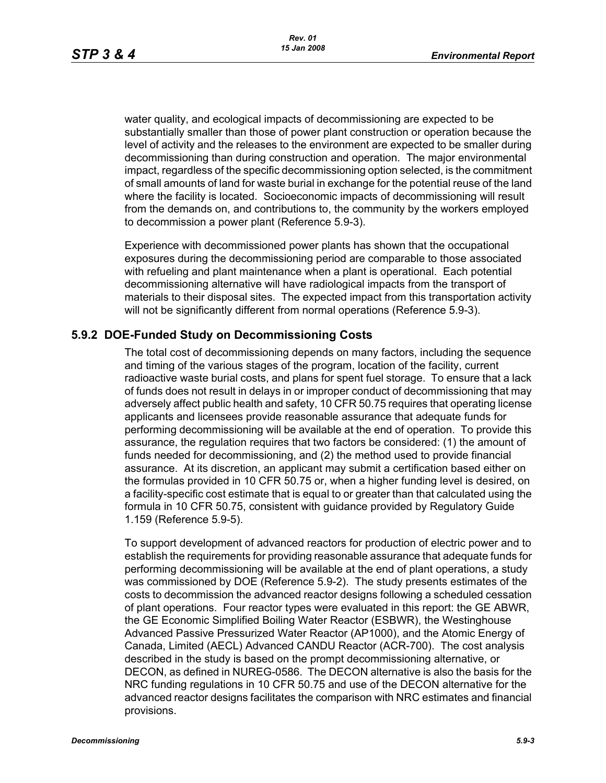water quality, and ecological impacts of decommissioning are expected to be substantially smaller than those of power plant construction or operation because the level of activity and the releases to the environment are expected to be smaller during decommissioning than during construction and operation. The major environmental impact, regardless of the specific decommissioning option selected, is the commitment of small amounts of land for waste burial in exchange for the potential reuse of the land where the facility is located. Socioeconomic impacts of decommissioning will result from the demands on, and contributions to, the community by the workers employed to decommission a power plant (Reference 5.9-3).

Experience with decommissioned power plants has shown that the occupational exposures during the decommissioning period are comparable to those associated with refueling and plant maintenance when a plant is operational. Each potential decommissioning alternative will have radiological impacts from the transport of materials to their disposal sites. The expected impact from this transportation activity will not be significantly different from normal operations (Reference 5.9-3).

# **5.9.2 DOE-Funded Study on Decommissioning Costs**

The total cost of decommissioning depends on many factors, including the sequence and timing of the various stages of the program, location of the facility, current radioactive waste burial costs, and plans for spent fuel storage. To ensure that a lack of funds does not result in delays in or improper conduct of decommissioning that may adversely affect public health and safety, 10 CFR 50.75 requires that operating license applicants and licensees provide reasonable assurance that adequate funds for performing decommissioning will be available at the end of operation. To provide this assurance, the regulation requires that two factors be considered: (1) the amount of funds needed for decommissioning, and (2) the method used to provide financial assurance. At its discretion, an applicant may submit a certification based either on the formulas provided in 10 CFR 50.75 or, when a higher funding level is desired, on a facility-specific cost estimate that is equal to or greater than that calculated using the formula in 10 CFR 50.75, consistent with guidance provided by Regulatory Guide 1.159 (Reference 5.9-5).

To support development of advanced reactors for production of electric power and to establish the requirements for providing reasonable assurance that adequate funds for performing decommissioning will be available at the end of plant operations, a study was commissioned by DOE (Reference 5.9-2). The study presents estimates of the costs to decommission the advanced reactor designs following a scheduled cessation of plant operations. Four reactor types were evaluated in this report: the GE ABWR, the GE Economic Simplified Boiling Water Reactor (ESBWR), the Westinghouse Advanced Passive Pressurized Water Reactor (AP1000), and the Atomic Energy of Canada, Limited (AECL) Advanced CANDU Reactor (ACR-700). The cost analysis described in the study is based on the prompt decommissioning alternative, or DECON, as defined in NUREG-0586. The DECON alternative is also the basis for the NRC funding regulations in 10 CFR 50.75 and use of the DECON alternative for the advanced reactor designs facilitates the comparison with NRC estimates and financial provisions.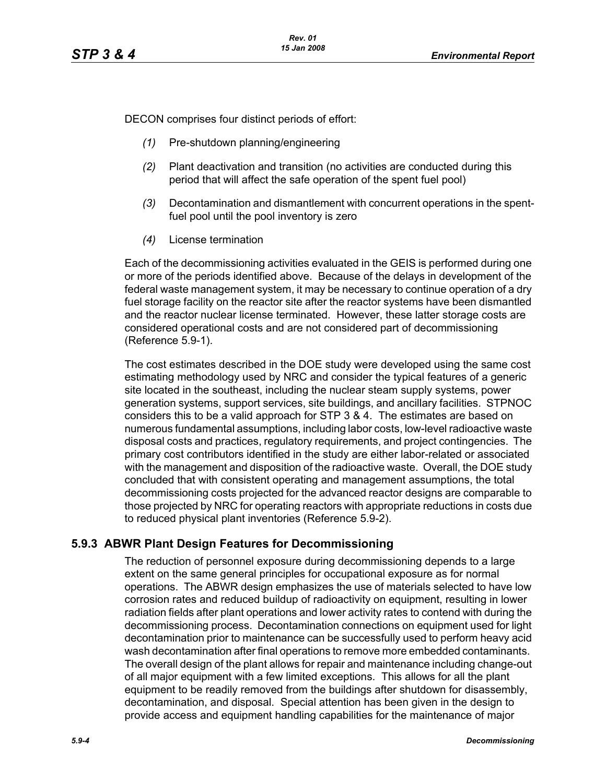DECON comprises four distinct periods of effort:

- *(1)* Pre-shutdown planning/engineering
- *(2)* Plant deactivation and transition (no activities are conducted during this period that will affect the safe operation of the spent fuel pool)
- *(3)* Decontamination and dismantlement with concurrent operations in the spentfuel pool until the pool inventory is zero
- *(4)* License termination

Each of the decommissioning activities evaluated in the GEIS is performed during one or more of the periods identified above. Because of the delays in development of the federal waste management system, it may be necessary to continue operation of a dry fuel storage facility on the reactor site after the reactor systems have been dismantled and the reactor nuclear license terminated. However, these latter storage costs are considered operational costs and are not considered part of decommissioning (Reference 5.9-1).

The cost estimates described in the DOE study were developed using the same cost estimating methodology used by NRC and consider the typical features of a generic site located in the southeast, including the nuclear steam supply systems, power generation systems, support services, site buildings, and ancillary facilities. STPNOC considers this to be a valid approach for STP 3 & 4. The estimates are based on numerous fundamental assumptions, including labor costs, low-level radioactive waste disposal costs and practices, regulatory requirements, and project contingencies. The primary cost contributors identified in the study are either labor-related or associated with the management and disposition of the radioactive waste. Overall, the DOE study concluded that with consistent operating and management assumptions, the total decommissioning costs projected for the advanced reactor designs are comparable to those projected by NRC for operating reactors with appropriate reductions in costs due to reduced physical plant inventories (Reference 5.9-2).

# **5.9.3 ABWR Plant Design Features for Decommissioning**

The reduction of personnel exposure during decommissioning depends to a large extent on the same general principles for occupational exposure as for normal operations. The ABWR design emphasizes the use of materials selected to have low corrosion rates and reduced buildup of radioactivity on equipment, resulting in lower radiation fields after plant operations and lower activity rates to contend with during the decommissioning process. Decontamination connections on equipment used for light decontamination prior to maintenance can be successfully used to perform heavy acid wash decontamination after final operations to remove more embedded contaminants. The overall design of the plant allows for repair and maintenance including change-out of all major equipment with a few limited exceptions. This allows for all the plant equipment to be readily removed from the buildings after shutdown for disassembly, decontamination, and disposal. Special attention has been given in the design to provide access and equipment handling capabilities for the maintenance of major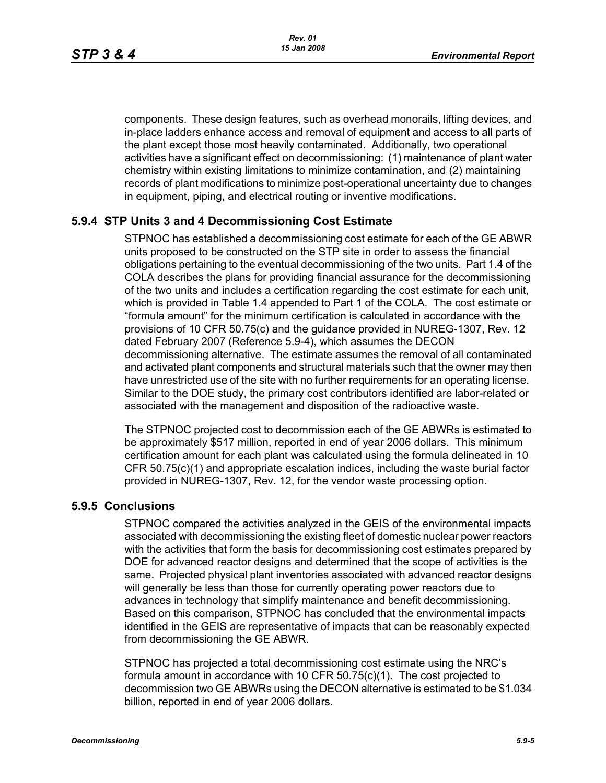components. These design features, such as overhead monorails, lifting devices, and in-place ladders enhance access and removal of equipment and access to all parts of the plant except those most heavily contaminated. Additionally, two operational activities have a significant effect on decommissioning: (1) maintenance of plant water chemistry within existing limitations to minimize contamination, and (2) maintaining records of plant modifications to minimize post-operational uncertainty due to changes in equipment, piping, and electrical routing or inventive modifications.

### **5.9.4 STP Units 3 and 4 Decommissioning Cost Estimate**

STPNOC has established a decommissioning cost estimate for each of the GE ABWR units proposed to be constructed on the STP site in order to assess the financial obligations pertaining to the eventual decommissioning of the two units. Part 1.4 of the COLA describes the plans for providing financial assurance for the decommissioning of the two units and includes a certification regarding the cost estimate for each unit, which is provided in Table 1.4 appended to Part 1 of the COLA. The cost estimate or "formula amount" for the minimum certification is calculated in accordance with the provisions of 10 CFR 50.75(c) and the guidance provided in NUREG-1307, Rev. 12 dated February 2007 (Reference 5.9-4), which assumes the DECON decommissioning alternative. The estimate assumes the removal of all contaminated and activated plant components and structural materials such that the owner may then have unrestricted use of the site with no further requirements for an operating license. Similar to the DOE study, the primary cost contributors identified are labor-related or associated with the management and disposition of the radioactive waste.

The STPNOC projected cost to decommission each of the GE ABWRs is estimated to be approximately \$517 million, reported in end of year 2006 dollars. This minimum certification amount for each plant was calculated using the formula delineated in 10 CFR 50.75(c)(1) and appropriate escalation indices, including the waste burial factor provided in NUREG-1307, Rev. 12, for the vendor waste processing option.

### **5.9.5 Conclusions**

STPNOC compared the activities analyzed in the GEIS of the environmental impacts associated with decommissioning the existing fleet of domestic nuclear power reactors with the activities that form the basis for decommissioning cost estimates prepared by DOE for advanced reactor designs and determined that the scope of activities is the same. Projected physical plant inventories associated with advanced reactor designs will generally be less than those for currently operating power reactors due to advances in technology that simplify maintenance and benefit decommissioning. Based on this comparison, STPNOC has concluded that the environmental impacts identified in the GEIS are representative of impacts that can be reasonably expected from decommissioning the GE ABWR.

STPNOC has projected a total decommissioning cost estimate using the NRC's formula amount in accordance with 10 CFR 50.75(c)(1). The cost projected to decommission two GE ABWRs using the DECON alternative is estimated to be \$1.034 billion, reported in end of year 2006 dollars.